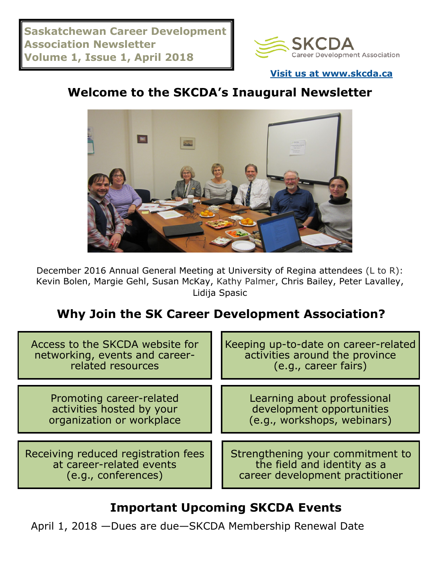

**[Visit us at www.skcda.ca](http://www.skcda.ca)**

## **Welcome to the SKCDA's Inaugural Newsletter**



December 2016 Annual General Meeting at University of Regina attendees (L to R): Kevin Bolen, Margie Gehl, Susan McKay, Kathy Palmer, Chris Bailey, Peter Lavalley, Lidija Spasic

### **Why Join the SK Career Development Association?**

| Access to the SKCDA website for     | Keeping up-to-date on career-related |
|-------------------------------------|--------------------------------------|
| networking, events and career-      | activities around the province       |
| related resources                   | (e.g., career fairs)                 |
| Promoting career-related            | Learning about professional          |
| activities hosted by your           | development opportunities            |
| organization or workplace           | (e.g., workshops, webinars)          |
| Receiving reduced registration fees | Strengthening your commitment to     |
| at career-related events            | the field and identity as a          |
| (e.g., conferences)                 | career development practitioner      |

### **Important Upcoming SKCDA Events**

April 1, 2018 —Dues are due—SKCDA Membership Renewal Date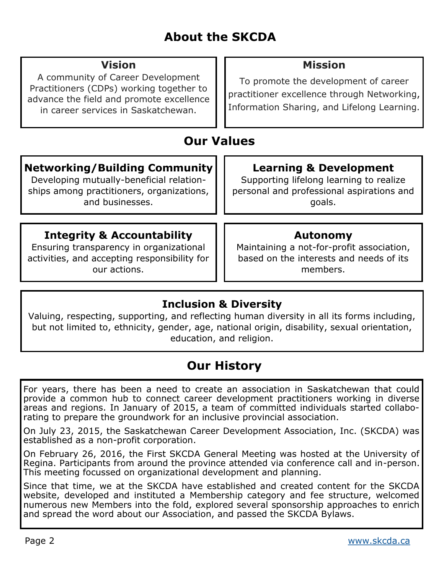## **About the SKCDA**

| <b>Vision</b><br>A community of Career Development<br>Practitioners (CDPs) working together to<br>advance the field and promote excellence<br>in career services in Saskatchewan. | <b>Mission</b><br>To promote the development of career<br>practitioner excellence through Networking,<br>Information Sharing, and Lifelong Learning. |  |
|-----------------------------------------------------------------------------------------------------------------------------------------------------------------------------------|------------------------------------------------------------------------------------------------------------------------------------------------------|--|
| <b>Our Values</b>                                                                                                                                                                 |                                                                                                                                                      |  |
| <b>Networking/Building Community</b><br>Developing mutually-beneficial relation-<br>ships among practitioners, organizations,<br>and businesses.                                  | <b>Learning &amp; Development</b><br>Supporting lifelong learning to realize<br>personal and professional aspirations and<br>goals.                  |  |
| <b>Integrity &amp; Accountability</b><br>Ensuring transparency in organizational<br>activities, and accepting responsibility for<br>our actions.                                  | Autonomy<br>Maintaining a not-for-profit association,<br>based on the interests and needs of its<br>members.                                         |  |

#### **Inclusion & Diversity**

Valuing, respecting, supporting, and reflecting human diversity in all its forms including, but not limited to, ethnicity, gender, age, national origin, disability, sexual orientation, education, and religion.

## **Our History**

For years, there has been a need to create an association in Saskatchewan that could provide a common hub to connect career development practitioners working in diverse areas and regions. In January of 2015, a team of committed individuals started collaborating to prepare the groundwork for an inclusive provincial association.

On July 23, 2015, the Saskatchewan Career Development Association, Inc. (SKCDA) was established as a non-profit corporation.

On February 26, 2016, the First SKCDA General Meeting was hosted at the University of Regina. Participants from around the province attended via conference call and in-person. This meeting focussed on organizational development and planning.

Since that time, we at the SKCDA have established and created content for the SKCDA website, developed and instituted a Membership category and fee structure, welcomed numerous new Members into the fold, explored several sponsorship approaches to enrich and spread the word about our Association, and passed the SKCDA Bylaws.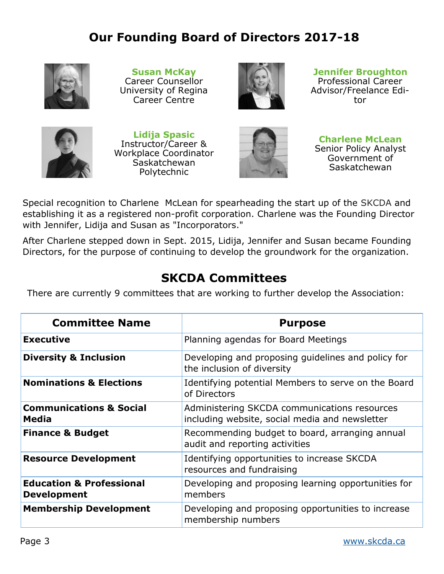### **Our Founding Board of Directors 2017-18**



**Susan McKay** Career Counsellor University of Regina Career Centre



**Jennifer Broughton** Professional Career Advisor/Freelance Editor



**Lidija Spasic** Instructor/Career & Workplace Coordinator **Saskatchewan** Polytechnic



**Charlene McLean** Senior Policy Analyst Government of Saskatchewan

Special recognition to Charlene McLean for spearheading the start up of the SKCDA and establishing it as a registered non-profit corporation. Charlene was the Founding Director with Jennifer, Lidija and Susan as "Incorporators."

After Charlene stepped down in Sept. 2015, Lidija, Jennifer and Susan became Founding Directors, for the purpose of continuing to develop the groundwork for the organization.

#### **SKCDA Committees**

There are currently 9 committees that are working to further develop the Association:

| <b>Committee Name</b>                                     | <b>Purpose</b>                                                                                 |
|-----------------------------------------------------------|------------------------------------------------------------------------------------------------|
| <b>Executive</b>                                          | Planning agendas for Board Meetings                                                            |
| <b>Diversity &amp; Inclusion</b>                          | Developing and proposing guidelines and policy for<br>the inclusion of diversity               |
| <b>Nominations &amp; Elections</b>                        | Identifying potential Members to serve on the Board<br>of Directors                            |
| <b>Communications &amp; Social</b><br><b>Media</b>        | Administering SKCDA communications resources<br>including website, social media and newsletter |
| <b>Finance &amp; Budget</b>                               | Recommending budget to board, arranging annual<br>audit and reporting activities               |
| <b>Resource Development</b>                               | Identifying opportunities to increase SKCDA<br>resources and fundraising                       |
| <b>Education &amp; Professional</b><br><b>Development</b> | Developing and proposing learning opportunities for<br>members                                 |
| <b>Membership Development</b>                             | Developing and proposing opportunities to increase<br>membership numbers                       |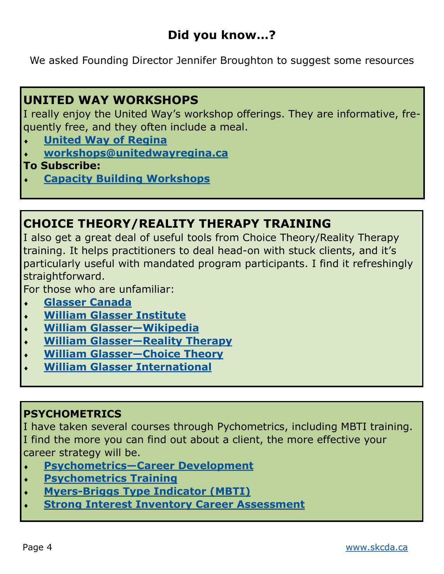### **Did you know…?**

We asked Founding Director Jennifer Broughton to suggest some resources

#### **UNITED WAY WORKSHOPS**

I really enjoy the United Way's workshop offerings. They are informative, frequently free, and they often include a meal.

- **[United Way of Regina](http://www.unitedwayregina.ca/servlet/eAndar.article/68/Workshops)**
- **[workshops@unitedwayregina.ca](mailto:workshops@unitedwayregina.ca)**
- **To Subscribe:**
- **[Capacity Building Workshops](https://www.unitedwayregina.ca/comm/MLSubscribe.jsp?SubKeyHex=472F6842223B2B5332447E3E)**

### **CHOICE THEORY/REALITY THERAPY TRAINING**

I also get a great deal of useful tools from Choice Theory/Reality Therapy training. It helps practitioners to deal head-on with stuck clients, and it's particularly useful with mandated program participants. I find it refreshingly straightforward.

For those who are unfamiliar:

- **[Glasser Canada](http://www.glassercanada.ca)**
- **[William Glasser Institute](http://wglasser.com/)**
- **[William Glasser—Wikipedia](https://en.wikipedia.org/wiki/William_Glasser)**
- **[William Glasser—Reality Therapy](https://wglasser.com/our-approach/reality-therapy/)**
- **[William Glasser—Choice Theory](https://wglasser.com/our-approach/choice-theory/)**
- **[William Glasser International](https://www.wglasserinternational.org/)**

#### **PSYCHOMETRICS**

I have taken several courses through Pychometrics, including MBTI training. I find the more you can find out about a client, the more effective your career strategy will be.

- **[Psychometrics—Career Development](https://www.psychometrics.com/employee-development/career-development-tools/)**
- **[Psychometrics Training](https://www.psychometrics.com/training/)**
- **Myers-[Briggs Type Indicator \(MBTI\)](https://www.psychometrics.com/assessments/myers-briggs-type-indicator/)**
- **[Strong Interest Inventory Career Assessment](https://www.psychometrics.com/assessments/strong-interest-inventory/)**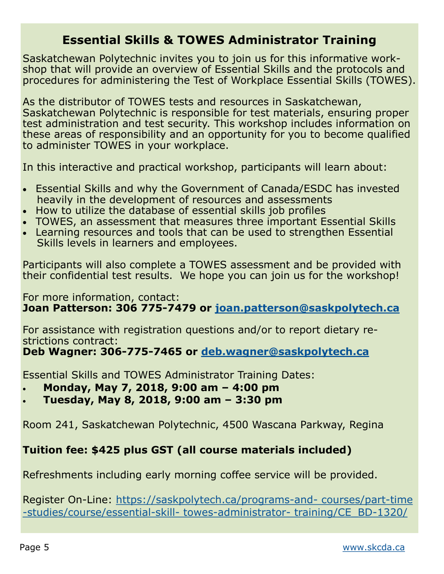#### **Essential Skills & TOWES Administrator Training**

Saskatchewan Polytechnic invites you to join us for this informative workshop that will provide an overview of Essential Skills and the protocols and procedures for administering the Test of Workplace Essential Skills (TOWES).

As the distributor of TOWES tests and resources in Saskatchewan, Saskatchewan Polytechnic is responsible for test materials, ensuring proper test administration and test security. This workshop includes information on these areas of responsibility and an opportunity for you to become qualified to administer TOWES in your workplace.

In this interactive and practical workshop, participants will learn about:

- Essential Skills and why the Government of Canada/ESDC has invested heavily in the development of resources and assessments
- How to utilize the database of essential skills job profiles
- TOWES, an assessment that measures three important Essential Skills
- Learning resources and tools that can be used to strengthen Essential Skills levels in learners and employees.

Participants will also complete a TOWES assessment and be provided with their confidential test results. We hope you can join us for the workshop!

For more information, contact: **Joan Patterson: 306 775-7479 or [joan.patterson@saskpolytech.ca](file:///C:/Users/wagnerd/Documents/Custom%20Office%20Templates/joan.patterson@saskpolytech.ca)**

For assistance with registration questions and/or to report dietary restrictions contract:

**Deb Wagner: 306-775-7465 or [deb.wagner@saskpolytech.ca](mailto:deb.wagner@saskpolytech.ca)**

Essential Skills and TOWES Administrator Training Dates:

- **Monday, May 7, 2018, 9:00 am – 4:00 pm**
- **Tuesday, May 8, 2018, 9:00 am – 3:30 pm**

Room 241, Saskatchewan Polytechnic, 4500 Wascana Parkway, Regina

#### **Tuition fee: \$425 plus GST (all course materials included)**

Refreshments including early morning coffee service will be provided.

Register On-Line: [https://saskpolytech.ca/programs](https://saskpolytech.ca/programs-and-courses/part-time-studies/course/essential-skill-towes-administrator-training/CE_BD-1320/)-and- courses/part-time -[studies/course/essential](https://saskpolytech.ca/programs-and-courses/part-time-studies/course/essential-skill-towes-administrator-training/CE_BD-1320/)-skill- towes-administrator- training/CE\_BD-1320/